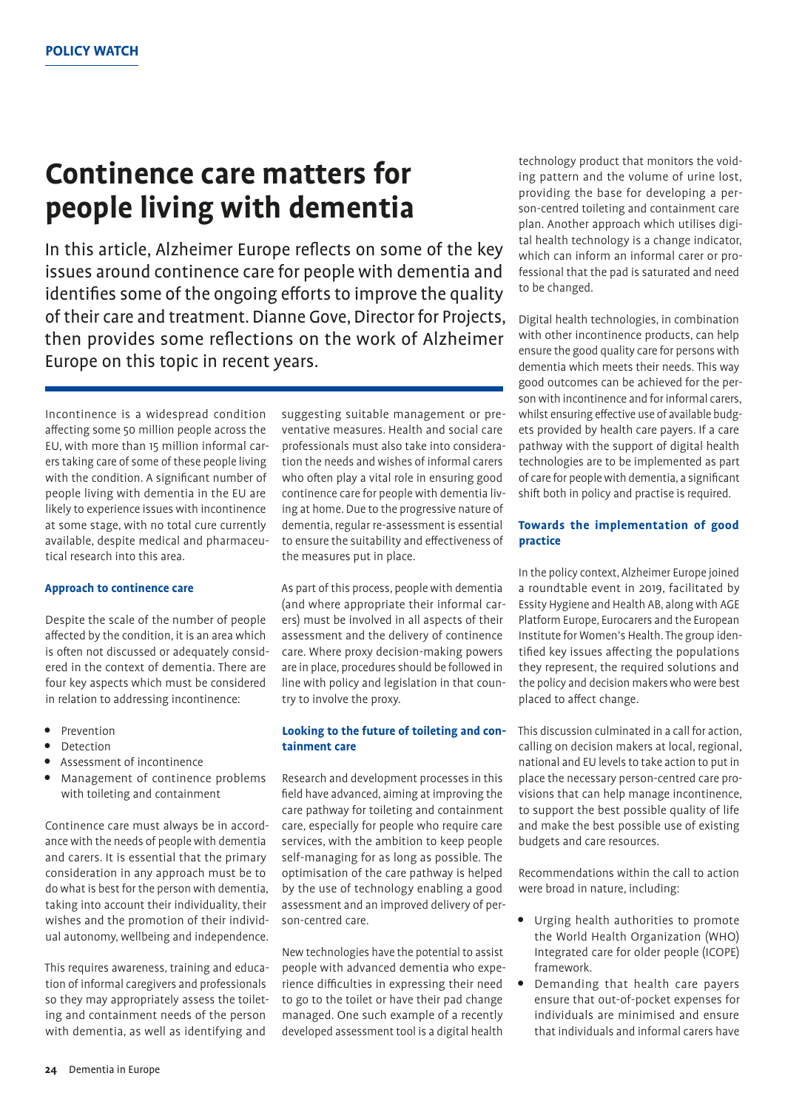# **Continence care matters for people living with dementia**

In this article, Alzheimer Europe reflects on some of the key issues around continence care for people with dementia and identifies some of the ongoing efforts to improve the quality of their care and treatment. Dianne Gove, Director for Projects, then provides some reflections on the work of Alzheimer Europe on this topic in recent years.

Incontinence is a widespread condition affecting some 50 million people across the EU, with more than 15 million informal carers taking care of some of these people living with the condition. A significant number of people living with dementia in the EU are likely to experience issues with incontinence at some stage, with no total cure currently available, despite medical and pharmaceutical research into this area.

#### **Approach to continence care**

Despite the scale of the number of people affected by the condition, it is an area which is often not discussed or adequately considered in the context of dementia. There are four key aspects which must be considered in relation to addressing incontinence:

- Prevention
- Detection
- Assessment of incontinence
- Management of continence problems with toileting and containment

Continence care must always be in accordance with the needs of people with dementia and carers. It is essential that the primary consideration in any approach must be to do what is best for the person with dementia, taking into account their individuality, their wishes and the promotion of their individual autonomy, wellbeing and independence.

This requires awareness, training and education of informal caregivers and professionals so they may appropriately assess the toileting and containment needs of the person with dementia, as well as identifying and

suggesting suitable management or preventative measures. Health and social care professionals must also take into consideration the needs and wishes of informal carers who often play a vital role in ensuring good continence care for people with dementia living at home. Due to the progressive nature of dementia, regular re-assessment is essential to ensure the suitability and effectiveness of the measures put in place.

As part of this process, people with dementia (and where appropriate their informal carers) must be involved in all aspects of their assessment and the delivery of continence care. Where proxy decision-making powers are in place, procedures should be followed in line with policy and legislation in that country to involve the proxy.

### **Looking to the future of toileting and containment care**

Research and development processes in this field have advanced, aiming at improving the care pathway for toileting and containment care, especially for people who require care services, with the ambition to keep people self-managing for as long as possible. The optimisation of the care pathway is helped by the use of technology enabling a good assessment and an improved delivery of person-centred care.

New technologies have the potential to assist people with advanced dementia who experience difficulties in expressing their need to go to the toilet or have their pad change managed. One such example of a recently developed assessment tool is a digital health

technology product that monitors the voiding pattern and the volume of urine lost, providing the base for developing a person-centred toileting and containment care plan. Another approach which utilises digital health technology is a change indicator, which can inform an informal carer or professional that the pad is saturated and need to be changed.

Digital health technologies, in combination with other incontinence products, can help ensure the good quality care for persons with dementia which meets their needs. This way good outcomes can be achieved for the person with incontinence and for informal carers, whilst ensuring effective use of available budgets provided by health care payers. If a care pathway with the support of digital health technologies are to be implemented as part of care for people with dementia, a significant shift both in policy and practise is required.

### **Towards the implementation of good practice**

In the policy context, Alzheimer Europe joined a roundtable event in 2019, facilitated by Essity Hygiene and Health AB, along with AGE Platform Europe, Eurocarers and the European Institute for Women's Health. The group identified key issues affecting the populations they represent, the required solutions and the policy and decision makers who were best placed to affect change.

This discussion culminated in a call for action, calling on decision makers at local, regional, national and EU levels to take action to put in place the necessary person-centred care provisions that can help manage incontinence, to support the best possible quality of life and make the best possible use of existing budgets and care resources.

Recommendations within the call to action were broad in nature, including:

- Urging health authorities to promote the World Health Organization (WHO) Integrated care for older people (ICOPE) framework.
- Demanding that health care payers ensure that out-of-pocket expenses for individuals are minimised and ensure that individuals and informal carers have